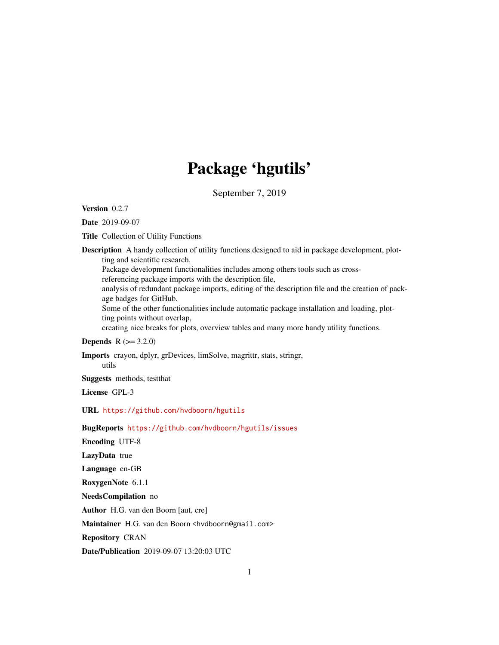# Package 'hgutils'

September 7, 2019

<span id="page-0-0"></span>Version 0.2.7

Date 2019-09-07

Title Collection of Utility Functions

Description A handy collection of utility functions designed to aid in package development, plotting and scientific research. Package development functionalities includes among others tools such as crossreferencing package imports with the description file, analysis of redundant package imports, editing of the description file and the creation of package badges for GitHub. Some of the other functionalities include automatic package installation and loading, plotting points without overlap, creating nice breaks for plots, overview tables and many more handy utility functions.

# **Depends**  $R (= 3.2.0)$

Imports crayon, dplyr, grDevices, limSolve, magrittr, stats, stringr, utils

Suggests methods, testthat

License GPL-3

### URL <https://github.com/hvdboorn/hgutils>

### BugReports <https://github.com/hvdboorn/hgutils/issues>

Encoding UTF-8

LazyData true

Language en-GB

RoxygenNote 6.1.1

NeedsCompilation no

Author H.G. van den Boorn [aut, cre]

Maintainer H.G. van den Boorn <hvdboorn@gmail.com>

Repository CRAN

Date/Publication 2019-09-07 13:20:03 UTC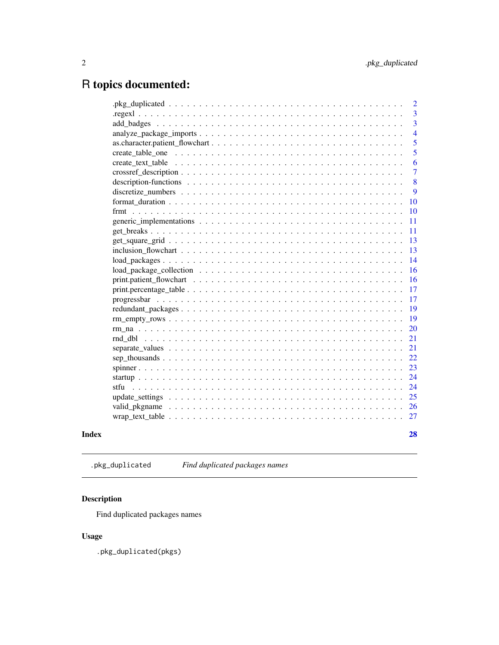# <span id="page-1-0"></span>R topics documented:

|       | $\overline{2}$ |
|-------|----------------|
|       | 3              |
|       | 3              |
|       | $\overline{4}$ |
|       | 5              |
|       | 5              |
|       | 6              |
|       | 7              |
|       | 8              |
|       | 9              |
|       | 10             |
|       | 10             |
|       | 11             |
|       | 11             |
|       | 13             |
|       | 13             |
|       | 14             |
|       | 16             |
|       | 16             |
|       | 17             |
|       | 17             |
|       | 19             |
|       | 19             |
|       | 20             |
|       | 21             |
|       | 21             |
|       | 22             |
|       | 23             |
|       | 24             |
|       | 24             |
|       | 25             |
|       | 26             |
|       | 27             |
| Index | 28             |

.pkg\_duplicated *Find duplicated packages names*

# Description

Find duplicated packages names

# Usage

.pkg\_duplicated(pkgs)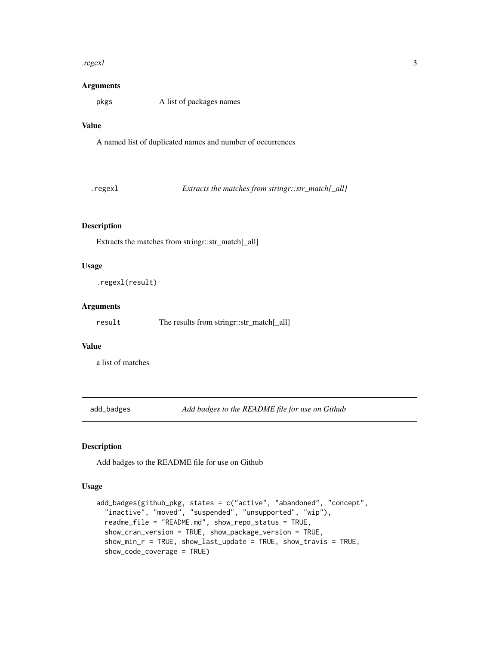#### <span id="page-2-0"></span>.regexl 3

### Arguments

pkgs A list of packages names

# Value

A named list of duplicated names and number of occurrences

.regexl *Extracts the matches from stringr::str\_match[\_all]*

### Description

Extracts the matches from stringr::str\_match[\_all]

### Usage

.regexl(result)

### Arguments

result The results from stringr::str\_match[\_all]

### Value

a list of matches

add\_badges *Add badges to the README file for use on Github*

### Description

Add badges to the README file for use on Github

### Usage

```
add_badges(github_pkg, states = c("active", "abandoned", "concept",
  "inactive", "moved", "suspended", "unsupported", "wip"),
  readme_file = "README.md", show_repo_status = TRUE,
  show_cran_version = TRUE, show_package_version = TRUE,
  show_min_r = TRUE, show_last_update = TRUE, show_travis = TRUE,
  show_code_coverage = TRUE)
```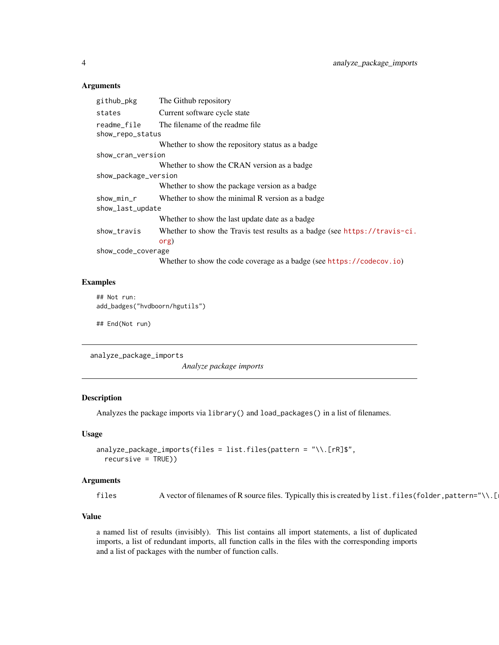<span id="page-3-0"></span>

| The Github repository                                                      |  |  |
|----------------------------------------------------------------------------|--|--|
| Current software cycle state                                               |  |  |
| The filename of the readme file                                            |  |  |
| show_repo_status                                                           |  |  |
| Whether to show the repository status as a badge                           |  |  |
| show_cran_version                                                          |  |  |
| Whether to show the CRAN version as a badge                                |  |  |
| show_package_version                                                       |  |  |
| Whether to show the package version as a badge                             |  |  |
| Whether to show the minimal R version as a badge                           |  |  |
| show_last_update                                                           |  |  |
| Whether to show the last update date as a badge                            |  |  |
| Whether to show the Travis test results as a badge (see https://travis-ci. |  |  |
| org)                                                                       |  |  |
| show_code_coverage                                                         |  |  |
| Whether to show the code coverage as a badge (see https://codecov.io)      |  |  |
|                                                                            |  |  |

# Examples

```
## Not run:
add_badges("hvdboorn/hgutils")
```
## End(Not run)

analyze\_package\_imports

*Analyze package imports*

# Description

Analyzes the package imports via library() and load\_packages() in a list of filenames.

# Usage

```
analyze_package_imports(files = list.files(pattern = "\\.[rR]$",
 recursive = TRUE))
```
### Arguments

files A vector of filenames of R source files. Typically this is created by list.files(folder, pattern="\\.[

### Value

a named list of results (invisibly). This list contains all import statements, a list of duplicated imports, a list of redundant imports, all function calls in the files with the corresponding imports and a list of packages with the number of function calls.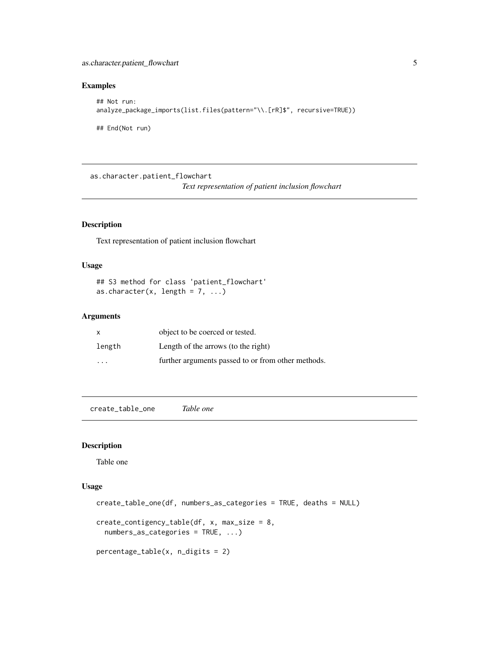# <span id="page-4-0"></span>as.character.patient\_flowchart 5

### Examples

```
## Not run:
analyze_package_imports(list.files(pattern="\\.[rR]$", recursive=TRUE))
## End(Not run)
```
as.character.patient\_flowchart

*Text representation of patient inclusion flowchart*

# Description

Text representation of patient inclusion flowchart

# Usage

## S3 method for class 'patient\_flowchart' as.character(x, length =  $7, ...$ )

### Arguments

| X                       | object to be coerced or tested.                    |
|-------------------------|----------------------------------------------------|
| length                  | Length of the arrows (to the right)                |
| $\cdot$ $\cdot$ $\cdot$ | further arguments passed to or from other methods. |

create\_table\_one *Table one*

# Description

Table one

# Usage

```
create_table_one(df, numbers_as_categories = TRUE, deaths = NULL)
create_contigency_table(df, x, max_size = 8,
 numbers_as_categories = TRUE, ...)
percentage_table(x, n_digits = 2)
```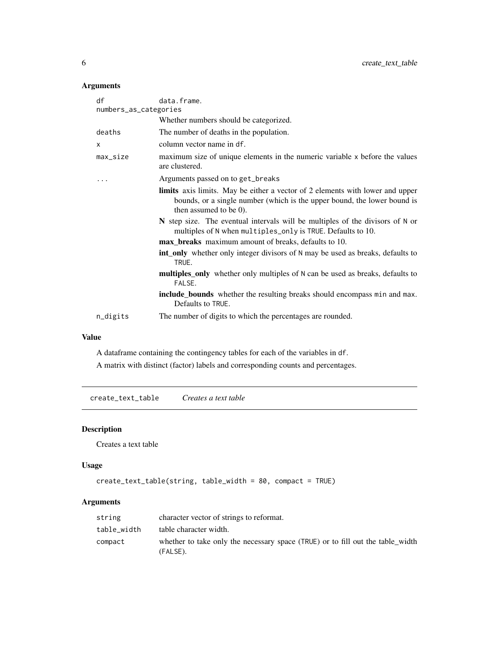<span id="page-5-0"></span>

| df                    | data.frame.                                                                                                                                                                                   |  |
|-----------------------|-----------------------------------------------------------------------------------------------------------------------------------------------------------------------------------------------|--|
| numbers_as_categories |                                                                                                                                                                                               |  |
|                       | Whether numbers should be categorized.                                                                                                                                                        |  |
| deaths                | The number of deaths in the population.                                                                                                                                                       |  |
| x                     | column vector name in df.                                                                                                                                                                     |  |
| max_size              | maximum size of unique elements in the numeric variable x before the values<br>are clustered.                                                                                                 |  |
| $\cdots$              | Arguments passed on to get_breaks                                                                                                                                                             |  |
|                       | <b>limits</b> axis limits. May be either a vector of 2 elements with lower and upper<br>bounds, or a single number (which is the upper bound, the lower bound is<br>then assumed to be $0$ ). |  |
|                       | N step size. The eventual intervals will be multiples of the divisors of N or<br>multiples of N when multiples_only is TRUE. Defaults to 10.                                                  |  |
|                       | <b>max_breaks</b> maximum amount of breaks, defaults to 10.                                                                                                                                   |  |
|                       | <b>int_only</b> whether only integer divisors of N may be used as breaks, defaults to<br>TRUE.                                                                                                |  |
|                       | multiples_only whether only multiples of N can be used as breaks, defaults to<br>FALSE.                                                                                                       |  |
|                       | include_bounds whether the resulting breaks should encompass min and max.<br>Defaults to TRUE.                                                                                                |  |
| n_digits              | The number of digits to which the percentages are rounded.                                                                                                                                    |  |
|                       |                                                                                                                                                                                               |  |

### Value

A dataframe containing the contingency tables for each of the variables in df.

A matrix with distinct (factor) labels and corresponding counts and percentages.

create\_text\_table *Creates a text table*

# Description

Creates a text table

# Usage

```
create_text_table(string, table_width = 80, compact = TRUE)
```
# Arguments

| string      | character vector of strings to reformat.                                                   |
|-------------|--------------------------------------------------------------------------------------------|
| table width | table character width.                                                                     |
| compact     | whether to take only the necessary space (TRUE) or to fill out the table_width<br>(FALSE). |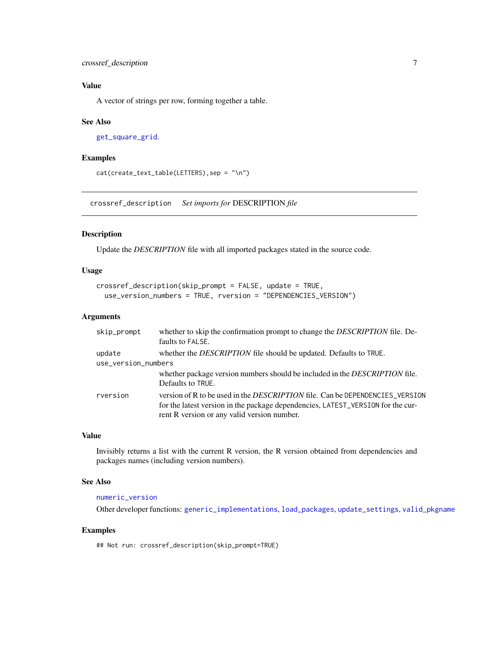# <span id="page-6-0"></span>Value

A vector of strings per row, forming together a table.

#### See Also

```
get_square_grid.
```
# Examples

```
cat(create_text_table(LETTERS),sep = "\n")
```
<span id="page-6-1"></span>crossref\_description *Set imports for* DESCRIPTION *file*

### Description

Update the *DESCRIPTION* file with all imported packages stated in the source code.

### Usage

```
crossref_description(skip_prompt = FALSE, update = TRUE,
  use_version_numbers = TRUE, rversion = "DEPENDENCIES_VERSION")
```
### Arguments

| skip_prompt         | whether to skip the confirmation prompt to change the DESCRIPTION file. De-<br>faults to FALSE.                                                                                                                       |
|---------------------|-----------------------------------------------------------------------------------------------------------------------------------------------------------------------------------------------------------------------|
| update              | whether the <i>DESCRIPTION</i> file should be updated. Defaults to TRUE.                                                                                                                                              |
| use_version_numbers |                                                                                                                                                                                                                       |
|                     | whether package version numbers should be included in the DESCRIPTION file.<br>Defaults to TRUE.                                                                                                                      |
| rversion            | version of R to be used in the <i>DESCRIPTION</i> file. Can be DEPENDENCIES_VERSION<br>for the latest version in the package dependencies, LATEST_VERSION for the cur-<br>rent R version or any valid version number. |

# Value

Invisibly returns a list with the current R version, the R version obtained from dependencies and packages names (including version numbers).

### See Also

# [numeric\\_version](#page-0-0)

Other developer functions: [generic\\_implementations](#page-10-1), [load\\_packages](#page-13-1), [update\\_settings](#page-24-1), [valid\\_pkgname](#page-25-1)

### Examples

## Not run: crossref\_description(skip\_prompt=TRUE)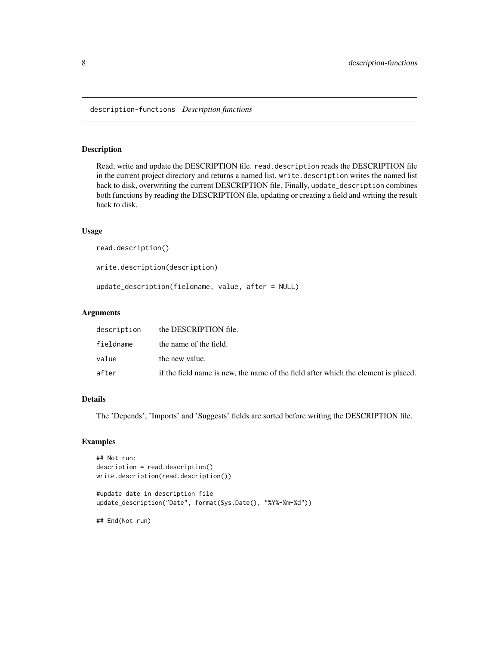<span id="page-7-0"></span>description-functions *Description functions*

### Description

Read, write and update the DESCRIPTION file. read.description reads the DESCRIPTION file in the current project directory and returns a named list. write.description writes the named list back to disk, overwriting the current DESCRIPTION file. Finally, update\_description combines both functions by reading the DESCRIPTION file, updating or creating a field and writing the result back to disk.

### Usage

```
read.description()
```
write.description(description)

update\_description(fieldname, value, after = NULL)

#### Arguments

| fieldname<br>the name of the field.                                                         |  |
|---------------------------------------------------------------------------------------------|--|
| value<br>the new value.                                                                     |  |
| after<br>if the field name is new, the name of the field after which the element is placed. |  |

# Details

The 'Depends', 'Imports' and 'Suggests' fields are sorted before writing the DESCRIPTION file.

### Examples

```
## Not run:
description = read.description()
write.description(read.description())
```
#update date in description file update\_description("Date", format(Sys.Date(), "%Y%-%m-%d"))

## End(Not run)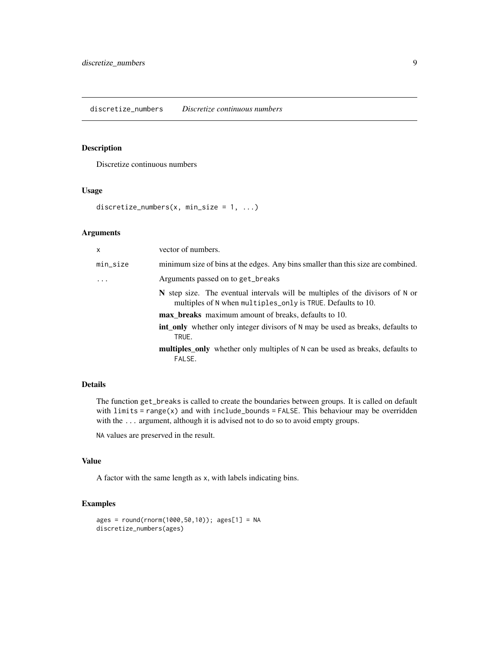#### <span id="page-8-0"></span>discretize\_numbers *Discretize continuous numbers*

# Description

Discretize continuous numbers

## Usage

```
discretize_numbers(x, min_size = 1, ...)
```
# Arguments

| x        | vector of numbers.                                                                                                                           |
|----------|----------------------------------------------------------------------------------------------------------------------------------------------|
| min_size | minimum size of bins at the edges. Any bins smaller than this size are combined.                                                             |
| $\cdots$ | Arguments passed on to get_breaks                                                                                                            |
|          | N step size. The eventual intervals will be multiples of the divisors of N or<br>multiples of N when multiples_only is TRUE. Defaults to 10. |
|          | max_breaks maximum amount of breaks, defaults to 10.                                                                                         |
|          | int only whether only integer divisors of N may be used as breaks, defaults to<br>TRUE.                                                      |
|          | <b>multiples_only</b> whether only multiples of N can be used as breaks, defaults to<br>FALSE.                                               |

# Details

The function get\_breaks is called to create the boundaries between groups. It is called on default with  $limits = range(x)$  and with include\_bounds = FALSE. This behaviour may be overridden with the ... argument, although it is advised not to do so to avoid empty groups.

NA values are preserved in the result.

### Value

A factor with the same length as x, with labels indicating bins.

```
ages = round(rnorm(1000,50,10)); ages[1] = NA
discretize_numbers(ages)
```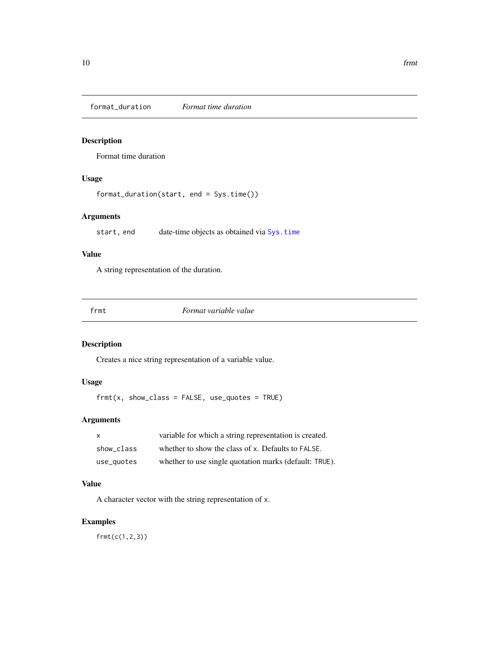<span id="page-9-0"></span>format\_duration *Format time duration*

# Description

Format time duration

# Usage

format\_duration(start, end = Sys.time())

### Arguments

start, end date-time objects as obtained via [Sys.time](#page-0-0)

### Value

A string representation of the duration.

frmt *Format variable value*

# Description

Creates a nice string representation of a variable value.

# Usage

 $frmt(x, show\_class = FALSE, use\_quotes = TRUE)$ 

# Arguments

| X          | variable for which a string representation is created. |
|------------|--------------------------------------------------------|
| show class | whether to show the class of x. Defaults to FALSE.     |
| use_quotes | whether to use single quotation marks (default: TRUE). |

# Value

A character vector with the string representation of x.

# Examples

frmt(c(1,2,3))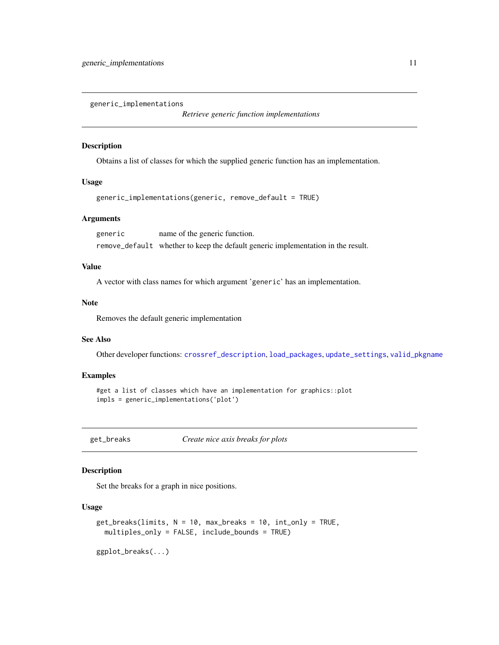<span id="page-10-1"></span><span id="page-10-0"></span>generic\_implementations

*Retrieve generic function implementations*

### Description

Obtains a list of classes for which the supplied generic function has an implementation.

### Usage

```
generic_implementations(generic, remove_default = TRUE)
```
### Arguments

generic name of the generic function. remove\_default whether to keep the default generic implementation in the result.

### Value

A vector with class names for which argument 'generic' has an implementation.

#### Note

Removes the default generic implementation

### See Also

Other developer functions: [crossref\\_description](#page-6-1), [load\\_packages](#page-13-1), [update\\_settings](#page-24-1), [valid\\_pkgname](#page-25-1)

# Examples

```
#get a list of classes which have an implementation for graphics::plot
impls = generic_implementations('plot')
```
get\_breaks *Create nice axis breaks for plots*

# Description

Set the breaks for a graph in nice positions.

#### Usage

```
get_breaks(limits, N = 10, max_breaks = 10, int_only = TRUE,
 multiples_only = FALSE, include_bounds = TRUE)
```
ggplot\_breaks(...)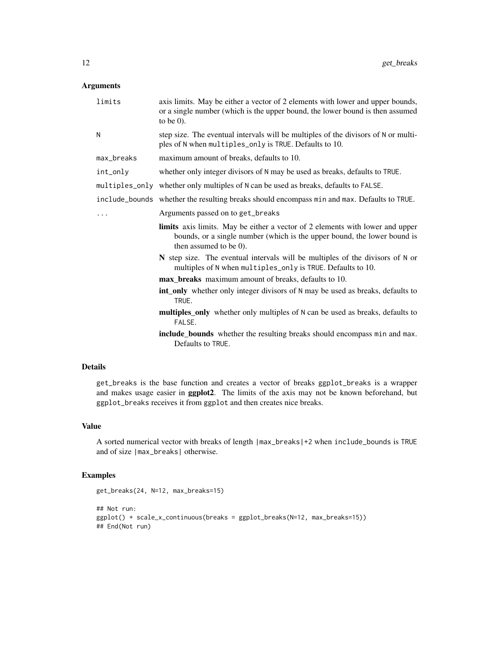| limits     | axis limits. May be either a vector of 2 elements with lower and upper bounds,<br>or a single number (which is the upper bound, the lower bound is then assumed<br>to be $0$ ).            |
|------------|--------------------------------------------------------------------------------------------------------------------------------------------------------------------------------------------|
| N          | step size. The eventual intervals will be multiples of the divisors of N or multi-<br>ples of N when multiples_only is TRUE. Defaults to 10.                                               |
| max_breaks | maximum amount of breaks, defaults to 10.                                                                                                                                                  |
| int_only   | whether only integer divisors of N may be used as breaks, defaults to TRUE.                                                                                                                |
|            | multiples_only whether only multiples of N can be used as breaks, defaults to FALSE.                                                                                                       |
|            | include_bounds whether the resulting breaks should encompass min and max. Defaults to TRUE.                                                                                                |
| .          | Arguments passed on to get_breaks                                                                                                                                                          |
|            | <b>limits</b> axis limits. May be either a vector of 2 elements with lower and upper<br>bounds, or a single number (which is the upper bound, the lower bound is<br>then assumed to be 0). |
|            | N step size. The eventual intervals will be multiples of the divisors of N or<br>multiples of N when multiples_only is TRUE. Defaults to 10.                                               |
|            | max_breaks maximum amount of breaks, defaults to 10.                                                                                                                                       |
|            | <b>int_only</b> whether only integer divisors of N may be used as breaks, defaults to<br>TRUE.                                                                                             |
|            | multiples_only whether only multiples of N can be used as breaks, defaults to<br>FALSE.                                                                                                    |
|            | include_bounds whether the resulting breaks should encompass min and max.<br>Defaults to TRUE.                                                                                             |

### Details

get\_breaks is the base function and creates a vector of breaks ggplot\_breaks is a wrapper and makes usage easier in ggplot2. The limits of the axis may not be known beforehand, but ggplot\_breaks receives it from ggplot and then creates nice breaks.

### Value

A sorted numerical vector with breaks of length |max\_breaks|+2 when include\_bounds is TRUE and of size |max\_breaks| otherwise.

```
get_breaks(24, N=12, max_breaks=15)
```

```
## Not run:
ggplot() + scale_x_continuous(breaks = ggplot_breaks(N=12, max_breaks=15))
## End(Not run)
```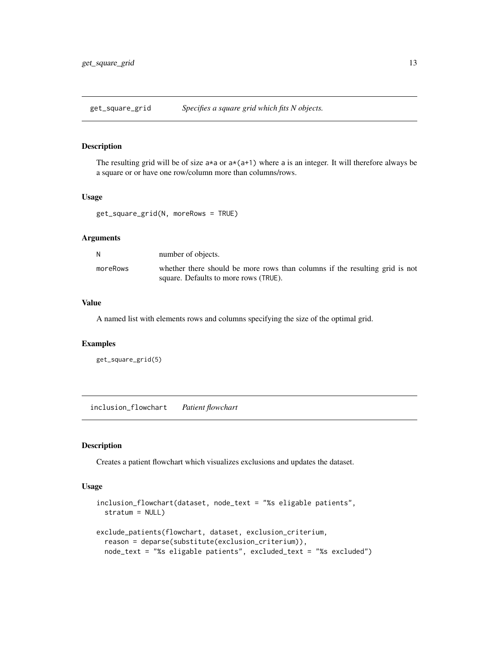<span id="page-12-1"></span><span id="page-12-0"></span>get\_square\_grid *Specifies a square grid which fits N objects.*

### Description

The resulting grid will be of size  $a*a$  or  $a*(a+1)$  where a is an integer. It will therefore always be a square or or have one row/column more than columns/rows.

### Usage

```
get_square_grid(N, moreRows = TRUE)
```
# Arguments

| N        | number of objects.                                                                                                   |
|----------|----------------------------------------------------------------------------------------------------------------------|
| moreRows | whether there should be more rows than columns if the resulting grid is not<br>square. Defaults to more rows (TRUE). |

### Value

A named list with elements rows and columns specifying the size of the optimal grid.

#### Examples

```
get_square_grid(5)
```
inclusion\_flowchart *Patient flowchart*

### Description

Creates a patient flowchart which visualizes exclusions and updates the dataset.

### Usage

```
inclusion_flowchart(dataset, node_text = "%s eligable patients",
 stratum = NULL)
exclude_patients(flowchart, dataset, exclusion_criterium,
  reason = deparse(substitute(exclusion_criterium)),
 node_text = "%s eligable patients", excluded_text = "%s excluded")
```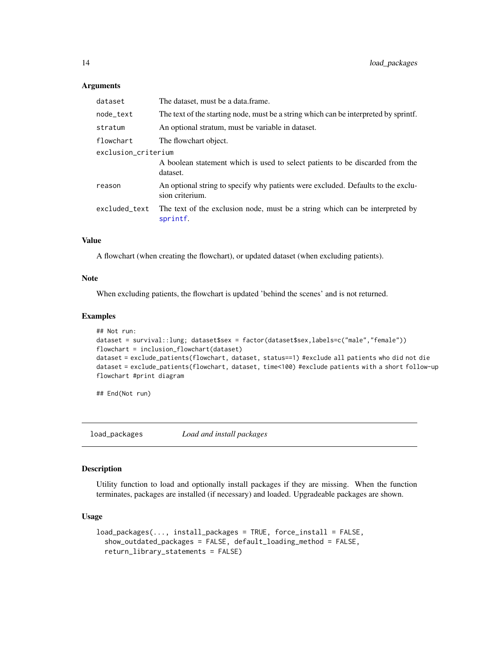| dataset             | The dataset, must be a data.frame.                                                                  |  |
|---------------------|-----------------------------------------------------------------------------------------------------|--|
| node_text           | The text of the starting node, must be a string which can be interpreted by sprintf.                |  |
| stratum             | An optional stratum, must be variable in dataset.                                                   |  |
| flowchart           | The flowchart object.                                                                               |  |
| exclusion_criterium |                                                                                                     |  |
|                     | A boolean statement which is used to select patients to be discarded from the<br>dataset.           |  |
| reason              | An optional string to specify why patients were excluded. Defaults to the exclu-<br>sion criterium. |  |
| excluded_text       | The text of the exclusion node, must be a string which can be interpreted by<br>sprintf.            |  |
|                     |                                                                                                     |  |

### Value

A flowchart (when creating the flowchart), or updated dataset (when excluding patients).

### Note

When excluding patients, the flowchart is updated 'behind the scenes' and is not returned.

#### Examples

```
## Not run:
dataset = survival::lung; dataset$sex = factor(dataset$sex,labels=c("male","female"))
flowchart = inclusion_flowchart(dataset)
dataset = exclude_patients(flowchart, dataset, status==1) #exclude all patients who did not die
dataset = exclude_patients(flowchart, dataset, time<100) #exclude patients with a short follow-up
flowchart #print diagram
```
## End(Not run)

<span id="page-13-1"></span>load\_packages *Load and install packages*

### Description

Utility function to load and optionally install packages if they are missing. When the function terminates, packages are installed (if necessary) and loaded. Upgradeable packages are shown.

#### Usage

```
load_packages(..., install_packages = TRUE, force_install = FALSE,
 show_outdated_packages = FALSE, default_loading_method = FALSE,
  return_library_statements = FALSE)
```
<span id="page-13-0"></span>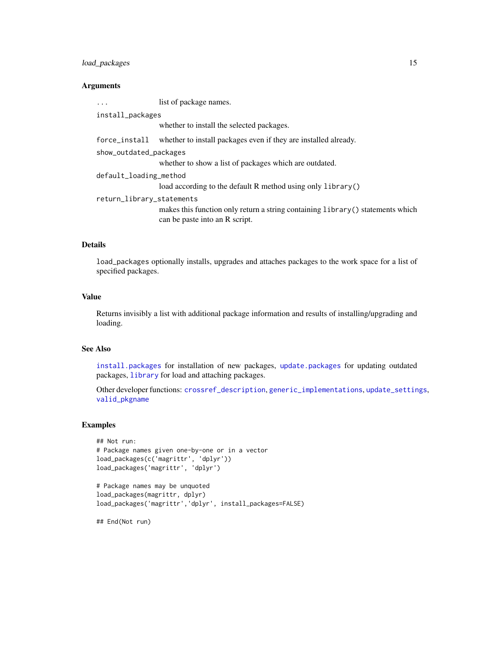# <span id="page-14-0"></span>load\_packages 15

# Arguments

| $\ddotsc$                 | list of package names.                                                          |  |
|---------------------------|---------------------------------------------------------------------------------|--|
| install_packages          |                                                                                 |  |
|                           | whether to install the selected packages.                                       |  |
| force_install             | whether to install packages even if they are installed already.                 |  |
| show_outdated_packages    |                                                                                 |  |
|                           | whether to show a list of packages which are outdated.                          |  |
| default_loading_method    |                                                                                 |  |
|                           | load according to the default R method using only library()                     |  |
| return_library_statements |                                                                                 |  |
|                           | makes this function only return a string containing library () statements which |  |
|                           | can be paste into an R script.                                                  |  |

### Details

load\_packages optionally installs, upgrades and attaches packages to the work space for a list of specified packages.

### Value

Returns invisibly a list with additional package information and results of installing/upgrading and loading.

### See Also

[install.packages](#page-0-0) for installation of new packages, [update.packages](#page-0-0) for updating outdated packages, [library](#page-0-0) for load and attaching packages.

Other developer functions: [crossref\\_description](#page-6-1), [generic\\_implementations](#page-10-1), [update\\_settings](#page-24-1), [valid\\_pkgname](#page-25-1)

### Examples

```
## Not run:
# Package names given one-by-one or in a vector
load_packages(c('magrittr', 'dplyr'))
load_packages('magrittr', 'dplyr')
```

```
# Package names may be unquoted
load_packages(magrittr, dplyr)
load_packages('magrittr','dplyr', install_packages=FALSE)
```
## End(Not run)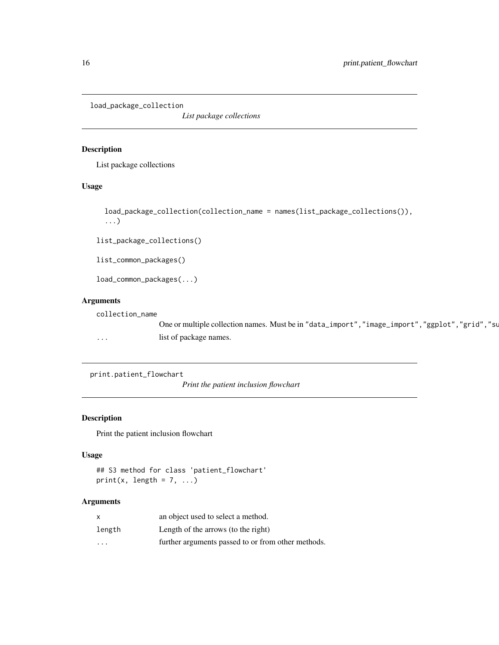<span id="page-15-0"></span>load\_package\_collection

*List package collections*

### Description

List package collections

### Usage

```
load_package_collection(collection_name = names(list_package_collections()),
...)
```
list\_package\_collections()

list\_common\_packages()

load\_common\_packages(...)

# Arguments

collection\_name

One or multiple collection names. Must be in "data\_import", "image\_import", "ggplot", "grid", "su ... list of package names.

print.patient\_flowchart

*Print the patient inclusion flowchart*

# Description

Print the patient inclusion flowchart

# Usage

## S3 method for class 'patient\_flowchart'  $print(x, length = 7, ...)$ 

# Arguments

| X                 | an object used to select a method.                 |
|-------------------|----------------------------------------------------|
| length            | Length of the arrows (to the right)                |
| $\cdot\cdot\cdot$ | further arguments passed to or from other methods. |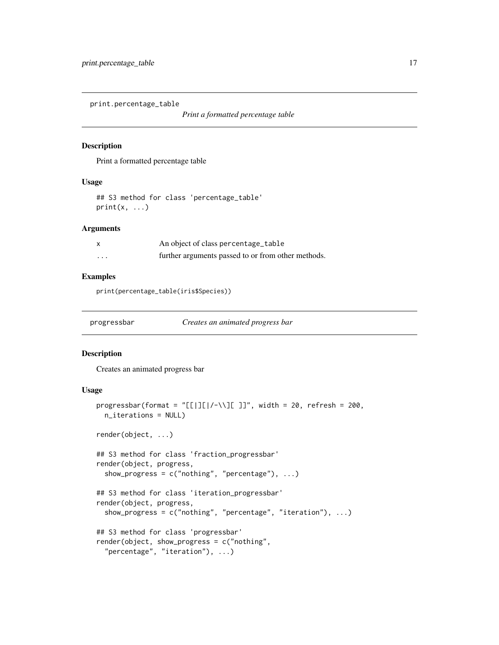<span id="page-16-0"></span>print.percentage\_table

*Print a formatted percentage table*

### Description

Print a formatted percentage table

### Usage

```
## S3 method for class 'percentage_table'
print(x, \ldots)
```
# Arguments

|         | An object of class percentage_table                |
|---------|----------------------------------------------------|
| $\cdot$ | further arguments passed to or from other methods. |

### Examples

print(percentage\_table(iris\$Species))

progressbar *Creates an animated progress bar*

# Description

Creates an animated progress bar

# Usage

```
progressbar(format = "[[[]]/-\\][ ]]", width = 20, refresh = 200,
 n_iterations = NULL)
render(object, ...)
## S3 method for class 'fraction_progressbar'
render(object, progress,
 show_progress = c("nothing", "percentage"), ...)## S3 method for class 'iteration_progressbar'
render(object, progress,
  show_progress = c("nothing", "percentage", "iteration"), ...)## S3 method for class 'progressbar'
render(object, show_progress = c("nothing",
  "percentage", "iteration"), ...)
```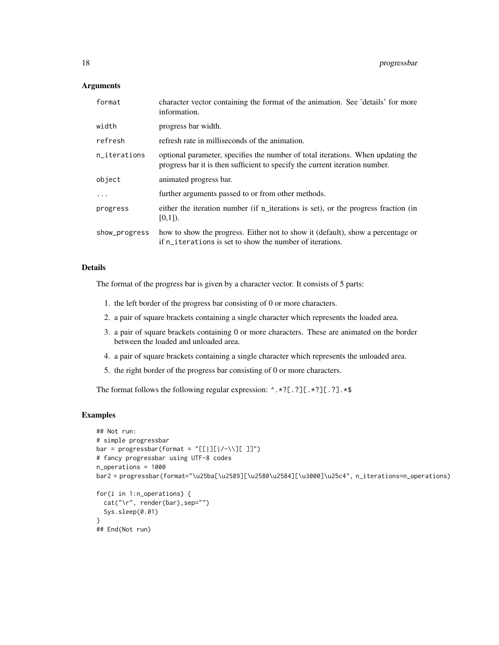| format        | character vector containing the format of the animation. See 'details' for more<br>information.                                                                |
|---------------|----------------------------------------------------------------------------------------------------------------------------------------------------------------|
| width         | progress bar width.                                                                                                                                            |
| refresh       | refresh rate in milliseconds of the animation.                                                                                                                 |
| n_iterations  | optional parameter, specifies the number of total iterations. When updating the<br>progress bar it is then sufficient to specify the current iteration number. |
| object        | animated progress bar.                                                                                                                                         |
| $\ddots$      | further arguments passed to or from other methods.                                                                                                             |
| progress      | either the iteration number (if n_iterations is set), or the progress fraction (in<br>$[0,1]$ ).                                                               |
| show_progress | how to show the progress. Either not to show it (default), show a percentage or<br>if n_iterations is set to show the number of iterations.                    |

### Details

The format of the progress bar is given by a character vector. It consists of 5 parts:

- 1. the left border of the progress bar consisting of 0 or more characters.
- 2. a pair of square brackets containing a single character which represents the loaded area.
- 3. a pair of square brackets containing 0 or more characters. These are animated on the border between the loaded and unloaded area.
- 4. a pair of square brackets containing a single character which represents the unloaded area.
- 5. the right border of the progress bar consisting of 0 or more characters.

The format follows the following regular expression: ^.\*?[.?][.\*?][.?].\*\$

```
## Not run:
# simple progressbar
bar = progressbar(format = "[[[][]/-\1][[]']')# fancy progressbar using UTF-8 codes
n_operations = 1000
bar2 = progressbar(format="\u25ba[\u2589][\u2580\u2584][\u3000]\u25c4", n_iterations=n_operations)
for(i in 1:n_operations) {
  cat("\r", render(bar),sep="")
  Sys.sleep(0.01)
}
## End(Not run)
```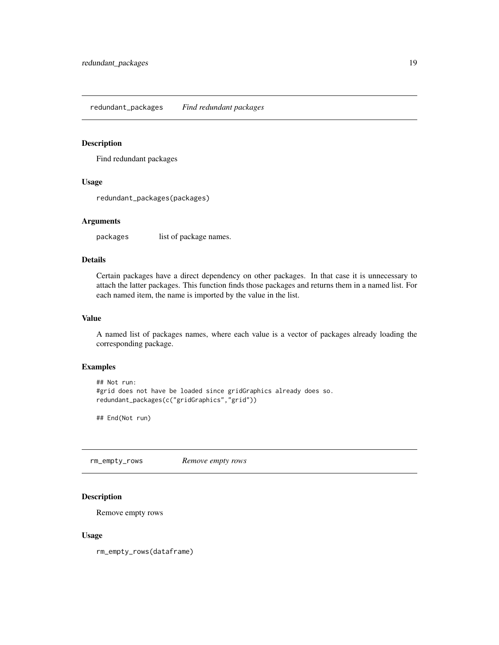<span id="page-18-0"></span>redundant\_packages *Find redundant packages*

# Description

Find redundant packages

### Usage

redundant\_packages(packages)

### Arguments

packages list of package names.

# Details

Certain packages have a direct dependency on other packages. In that case it is unnecessary to attach the latter packages. This function finds those packages and returns them in a named list. For each named item, the name is imported by the value in the list.

# Value

A named list of packages names, where each value is a vector of packages already loading the corresponding package.

# Examples

```
## Not run:
#grid does not have be loaded since gridGraphics already does so.
redundant_packages(c("gridGraphics","grid"))
```
## End(Not run)

<span id="page-18-1"></span>rm\_empty\_rows *Remove empty rows*

# Description

Remove empty rows

#### Usage

rm\_empty\_rows(dataframe)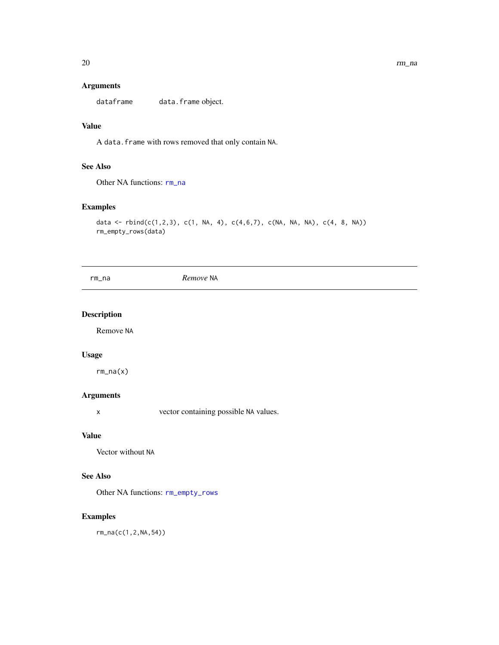<span id="page-19-0"></span>dataframe data.frame object.

# Value

A data.frame with rows removed that only contain NA.

# See Also

Other NA functions: [rm\\_na](#page-19-1)

# Examples

```
data <- rbind(c(1,2,3), c(1, NA, 4), c(4,6,7), c(NA, NA, NA), c(4, 8, NA))
rm_empty_rows(data)
```
<span id="page-19-1"></span>rm\_na *Remove* NA

# Description

Remove NA

### Usage

rm\_na(x)

# Arguments

x vector containing possible NA values.

# Value

Vector without NA

# See Also

Other NA functions: [rm\\_empty\\_rows](#page-18-1)

# Examples

rm\_na(c(1,2,NA,54))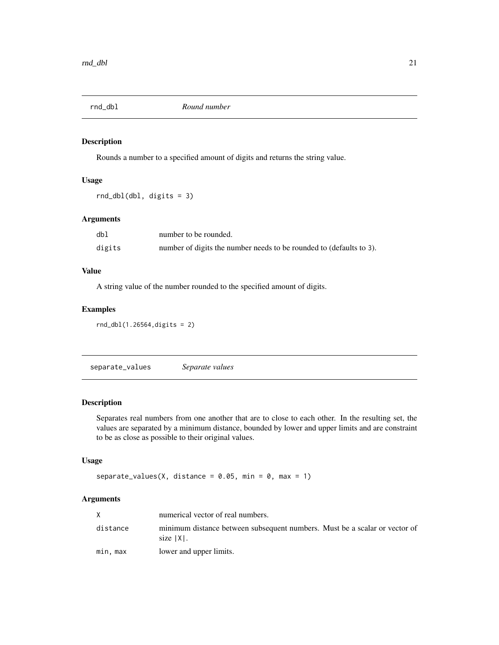<span id="page-20-0"></span>

### Description

Rounds a number to a specified amount of digits and returns the string value.

## Usage

```
rnd_dbl(dbl, digits = 3)
```
# Arguments

| db]    | number to be rounded.                                               |
|--------|---------------------------------------------------------------------|
| digits | number of digits the number needs to be rounded to (defaults to 3). |

### Value

A string value of the number rounded to the specified amount of digits.

### Examples

rnd\_dbl(1.26564,digits = 2)

separate\_values *Separate values*

# Description

Separates real numbers from one another that are to close to each other. In the resulting set, the values are separated by a minimum distance, bounded by lower and upper limits and are constraint to be as close as possible to their original values.

### Usage

```
separate_values(X, distance = 0.05, min = 0, max = 1)
```
### Arguments

|          | numerical vector of real numbers.                                                          |
|----------|--------------------------------------------------------------------------------------------|
| distance | minimum distance between subsequent numbers. Must be a scalar or vector of<br>size   X   . |
| min. max | lower and upper limits.                                                                    |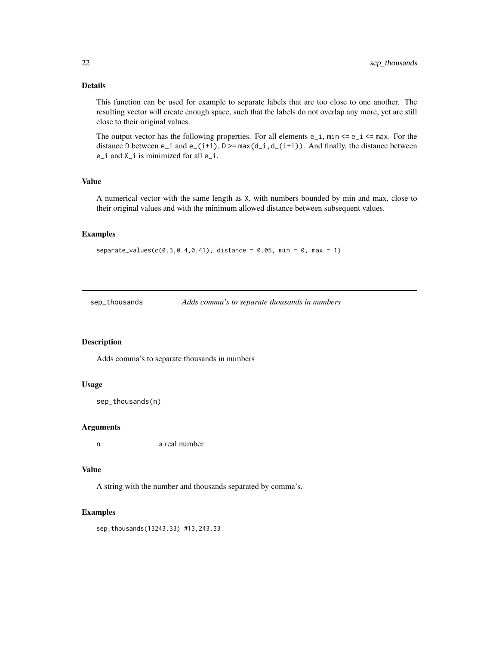# <span id="page-21-0"></span>Details

This function can be used for example to separate labels that are too close to one another. The resulting vector will create enough space, such that the labels do not overlap any more, yet are still close to their original values.

The output vector has the following properties. For all elements  $e_i$ , min  $\leq e_i$   $\leq$  max. For the distance D between  $e_i$  and  $e_i(t+1)$ ,  $D \geq max(d_i, d_i(t+1))$ . And finally, the distance between e\_i and X\_i is minimized for all e\_i.

### Value

A numerical vector with the same length as X, with numbers bounded by min and max, close to their original values and with the minimum allowed distance between subsequent values.

### Examples

```
separate_value(s(0.3, 0.4, 0.41), distance = 0.05, min = 0, max = 1)
```
sep\_thousands *Adds comma's to separate thousands in numbers*

### Description

Adds comma's to separate thousands in numbers

### Usage

```
sep_thousands(n)
```
#### Arguments

n a real number

### Value

A string with the number and thousands separated by comma's.

#### Examples

sep\_thousands(13243.33) #13,243.33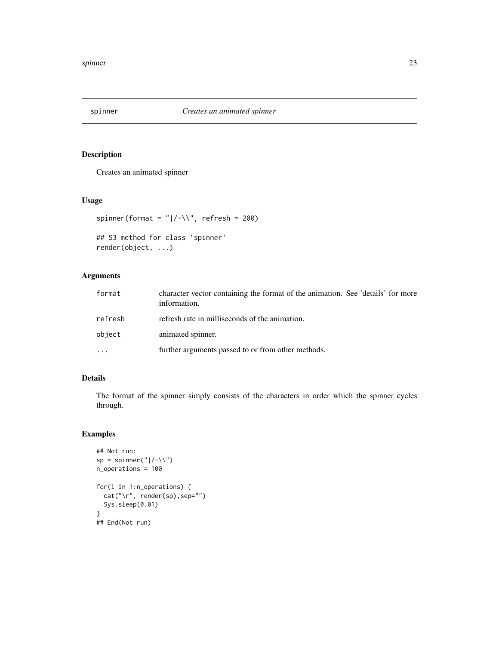<span id="page-22-0"></span>

# Description

Creates an animated spinner

# Usage

```
spinner(format = "|/-\1, refresh = 200)
```

```
## S3 method for class 'spinner'
render(object, ...)
```
# Arguments

| format   | character vector containing the format of the animation. See 'details' for more<br>information. |
|----------|-------------------------------------------------------------------------------------------------|
| refresh  | refresh rate in milliseconds of the animation.                                                  |
| object   | animated spinner.                                                                               |
| $\cdots$ | further arguments passed to or from other methods.                                              |

# Details

The format of the spinner simply consists of the characters in order which the spinner cycles through.

```
## Not run:
sp = spinner("|/-\\\ \n\sqrt{")}n_operations = 100
for(i in 1:n_operations) {
  cat("\r", render(sp),sep="")
  Sys.sleep(0.01)
}
## End(Not run)
```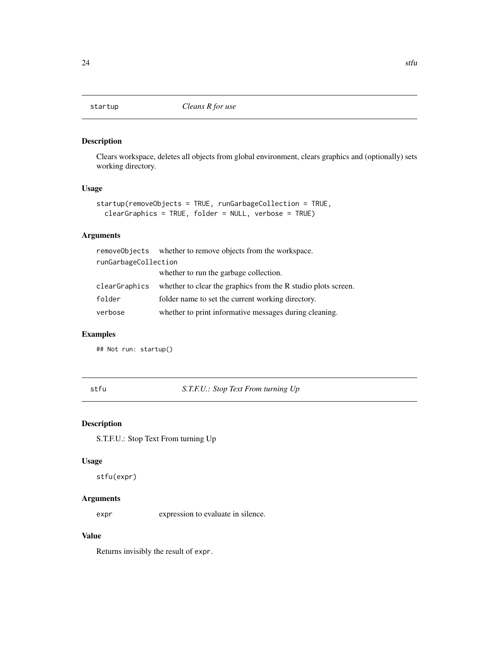<span id="page-23-0"></span>

# Description

Clears workspace, deletes all objects from global environment, clears graphics and (optionally) sets working directory.

# Usage

```
startup(removeObjects = TRUE, runGarbageCollection = TRUE,
 clearGraphics = TRUE, folder = NULL, verbose = TRUE)
```
# Arguments

|                      | removeObjects whether to remove objects from the workspace.   |
|----------------------|---------------------------------------------------------------|
| runGarbageCollection |                                                               |
|                      | whether to run the garbage collection.                        |
| clearGraphics        | whether to clear the graphics from the R studio plots screen. |
| folder               | folder name to set the current working directory.             |
| verbose              | whether to print informative messages during cleaning.        |

# Examples

## Not run: startup()

stfu *S.T.F.U.: Stop Text From turning Up*

### Description

S.T.F.U.: Stop Text From turning Up

# Usage

stfu(expr)

# Arguments

expr expression to evaluate in silence.

# Value

Returns invisibly the result of expr.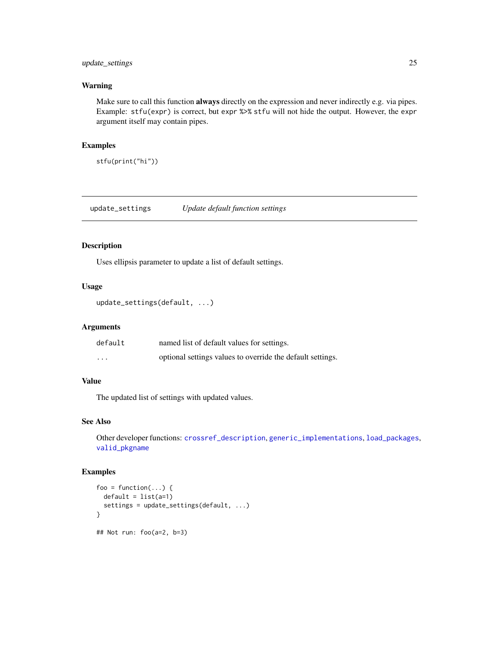# <span id="page-24-0"></span>update\_settings 25

# Warning

Make sure to call this function always directly on the expression and never indirectly e.g. via pipes. Example: stfu(expr) is correct, but expr %>% stfu will not hide the output. However, the expr argument itself may contain pipes.

### Examples

stfu(print("hi"))

<span id="page-24-1"></span>update\_settings *Update default function settings*

# Description

Uses ellipsis parameter to update a list of default settings.

# Usage

```
update_settings(default, ...)
```
# Arguments

| default   | named list of default values for settings.                 |
|-----------|------------------------------------------------------------|
| $\ddotsc$ | optional settings values to override the default settings. |

# Value

The updated list of settings with updated values.

# See Also

Other developer functions: [crossref\\_description](#page-6-1), [generic\\_implementations](#page-10-1), [load\\_packages](#page-13-1), [valid\\_pkgname](#page-25-1)

```
foo = function(...) {
  default = list(a=1)settings = update_settings(default, ...)
}
## Not run: foo(a=2, b=3)
```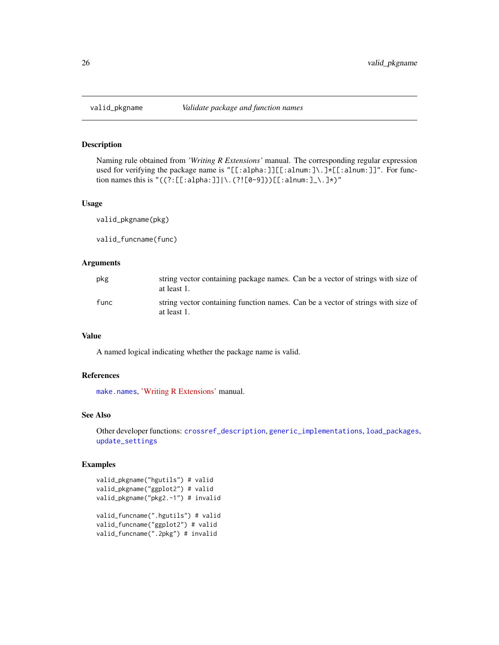<span id="page-25-1"></span><span id="page-25-0"></span>

### Description

Naming rule obtained from *'Writing R Extensions'* manual. The corresponding regular expression used for verifying the package name is "[[:alpha:]][[:alnum:]\.]\*[[:alnum:]]". For function names this is " $((?:[[:alpha:]])\.\,(?![0-9]))[[:alnum:]]\.\,]\star)$ "

#### Usage

valid\_pkgname(pkg)

valid\_funcname(func)

### Arguments

| pkg  | string vector containing package names. Can be a vector of strings with size of<br>at least 1.  |
|------|-------------------------------------------------------------------------------------------------|
| func | string vector containing function names. Can be a vector of strings with size of<br>at least 1. |

### Value

A named logical indicating whether the package name is valid.

### References

[make.names](#page-0-0), ['Writing R Extensions'](https://cran.r-project.org/doc/manuals/r-devel/R-exts.html#The-DESCRIPTION-file) manual.

### See Also

Other developer functions: [crossref\\_description](#page-6-1), [generic\\_implementations](#page-10-1), [load\\_packages](#page-13-1), [update\\_settings](#page-24-1)

```
valid_pkgname("hgutils") # valid
valid_pkgname("ggplot2") # valid
valid_pkgname("pkg2.-1") # invalid
valid_funcname(".hgutils") # valid
valid_funcname("ggplot2") # valid
valid_funcname(".2pkg") # invalid
```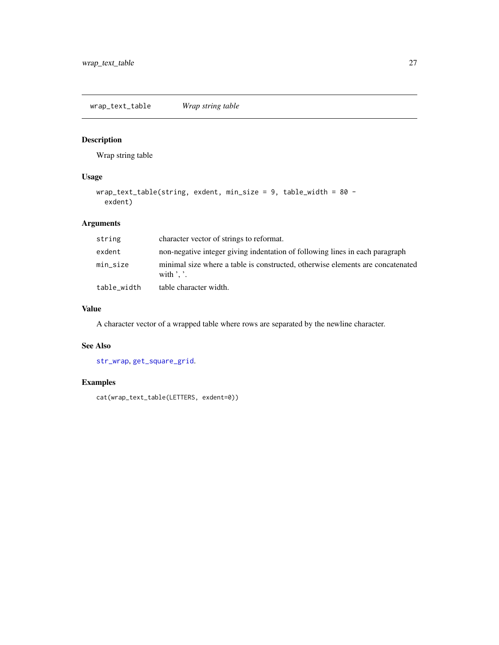<span id="page-26-0"></span>wrap\_text\_table *Wrap string table*

# Description

Wrap string table

# Usage

```
wrap_text_table(string, exdent, min_size = 9, table_width = 80 -
 exdent)
```
# Arguments

| string      | character vector of strings to reformat.                                                                       |
|-------------|----------------------------------------------------------------------------------------------------------------|
| exdent      | non-negative integer giving indentation of following lines in each paragraph                                   |
| min_size    | minimal size where a table is constructed, otherwise elements are concatenated<br>with $\cdot$ $\cdot$ $\cdot$ |
| table_width | table character width.                                                                                         |

# Value

A character vector of a wrapped table where rows are separated by the newline character.

# See Also

[str\\_wrap](#page-0-0), [get\\_square\\_grid](#page-12-1).

# Examples

cat(wrap\_text\_table(LETTERS, exdent=0))